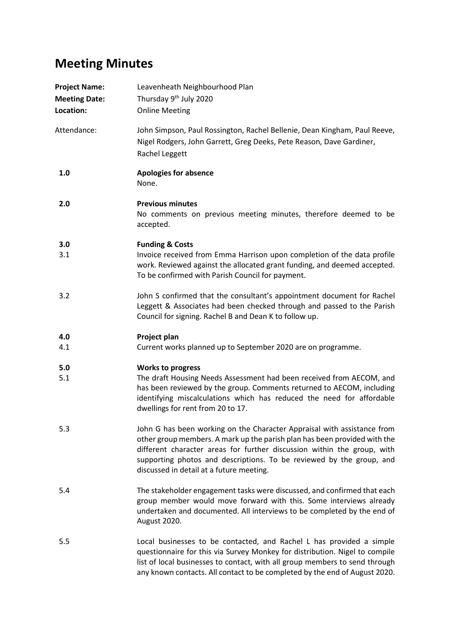## **Meeting Minutes**

| <b>Project Name:</b><br><b>Meeting Date:</b><br>Location: | Leavenheath Neighbourhood Plan<br>Thursday 9 <sup>th</sup> July 2020<br><b>Online Meeting</b>                                                                                                                                                                                                                                                       |
|-----------------------------------------------------------|-----------------------------------------------------------------------------------------------------------------------------------------------------------------------------------------------------------------------------------------------------------------------------------------------------------------------------------------------------|
| Attendance:                                               | John Simpson, Paul Rossington, Rachel Bellenie, Dean Kingham, Paul Reeve,<br>Nigel Rodgers, John Garrett, Greg Deeks, Pete Reason, Dave Gardiner,<br>Rachel Leggett                                                                                                                                                                                 |
| 1.0                                                       | <b>Apologies for absence</b><br>None.                                                                                                                                                                                                                                                                                                               |
| 2.0                                                       | <b>Previous minutes</b><br>No comments on previous meeting minutes, therefore deemed to be<br>accepted.                                                                                                                                                                                                                                             |
| 3.0                                                       | <b>Funding &amp; Costs</b>                                                                                                                                                                                                                                                                                                                          |
| 3.1                                                       | Invoice received from Emma Harrison upon completion of the data profile<br>work. Reviewed against the allocated grant funding, and deemed accepted.<br>To be confirmed with Parish Council for payment.                                                                                                                                             |
| 3.2                                                       | John S confirmed that the consultant's appointment document for Rachel<br>Leggett & Associates had been checked through and passed to the Parish<br>Council for signing. Rachel B and Dean K to follow up.                                                                                                                                          |
| 4.0                                                       | Project plan                                                                                                                                                                                                                                                                                                                                        |
| 4.1                                                       | Current works planned up to September 2020 are on programme.                                                                                                                                                                                                                                                                                        |
| 5.0                                                       | <b>Works to progress</b>                                                                                                                                                                                                                                                                                                                            |
| 5.1                                                       | The draft Housing Needs Assessment had been received from AECOM, and<br>has been reviewed by the group. Comments returned to AECOM, including<br>identifying miscalculations which has reduced the need for affordable<br>dwellings for rent from 20 to 17.                                                                                         |
| 5.3                                                       | John G has been working on the Character Appraisal with assistance from<br>other group members. A mark up the parish plan has been provided with the<br>different character areas for further discussion within the group, with<br>supporting photos and descriptions. To be reviewed by the group, and<br>discussed in detail at a future meeting. |
| 5.4                                                       | The stakeholder engagement tasks were discussed, and confirmed that each<br>group member would move forward with this. Some interviews already<br>undertaken and documented. All interviews to be completed by the end of<br>August 2020.                                                                                                           |
| 5.5                                                       | Local businesses to be contacted, and Rachel L has provided a simple<br>questionnaire for this via Survey Monkey for distribution. Nigel to compile<br>list of local businesses to contact, with all group members to send through<br>any known contacts. All contact to be completed by the end of August 2020.                                    |